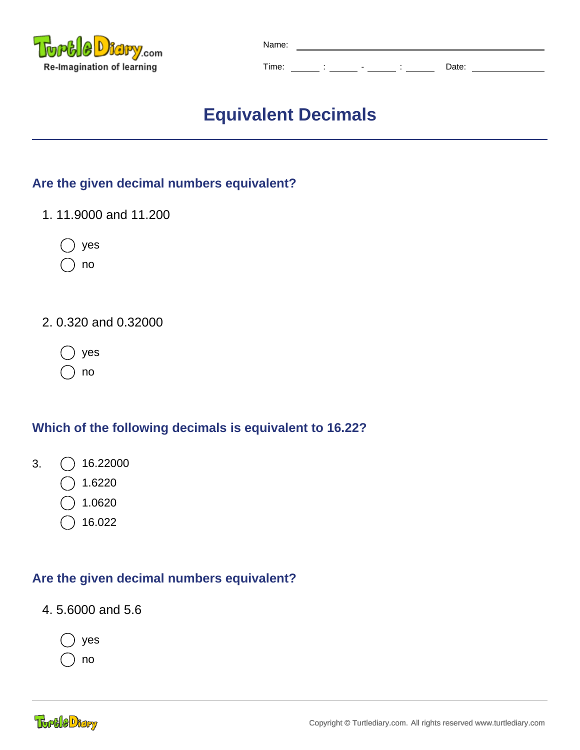

| Name: |  |   |       |
|-------|--|---|-------|
| Time: |  | - | Date: |

# **Equivalent Decimals**

## **Are the given decimal numbers equivalent?**

- 1. 11.9000 and 11.200
	- yes
	- no
- 2. 0.320 and 0.32000
	- yes
	- no

## **Which of the following decimals is equivalent to 16.22?**

- 3.  $\bigcap$  16.22000
	- 1.6220
	- 1.0620
	- 16.022

# **Are the given decimal numbers equivalent?**

4. 5.6000 and 5.6

yes

no

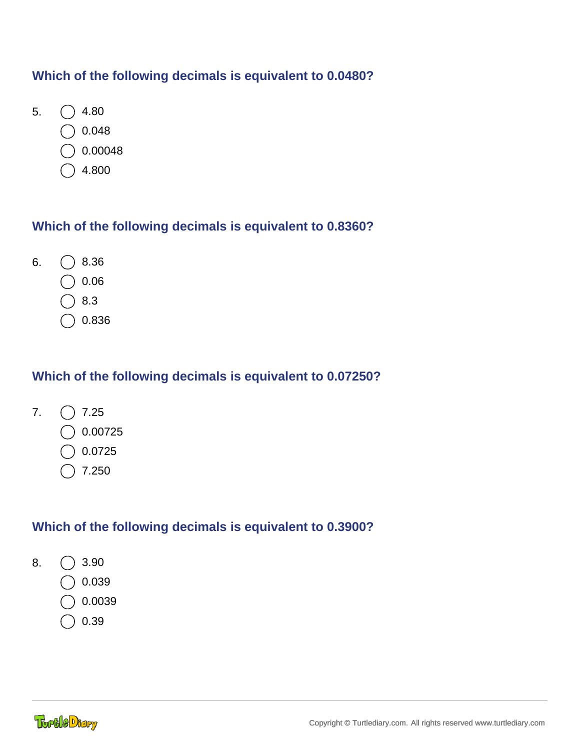#### **Which of the following decimals is equivalent to 0.0480?**

- 5.  $\bigcirc$  4.80
	- 0.048
	- 0.00048
	- 4.800

#### **Which of the following decimals is equivalent to 0.8360?**

- 6.  $\bigcirc$  8.36
	- 0.06
	- 8.3
	- 0.836

## **Which of the following decimals is equivalent to 0.07250?**

- 7.  $\bigcap$  7.25
	- 0.00725
	- 0.0725
	- 7.250

# **Which of the following decimals is equivalent to 0.3900?**

- 8.  $\bigcirc$  3.90
	- 0.039
	- 0.0039
	- 0.39

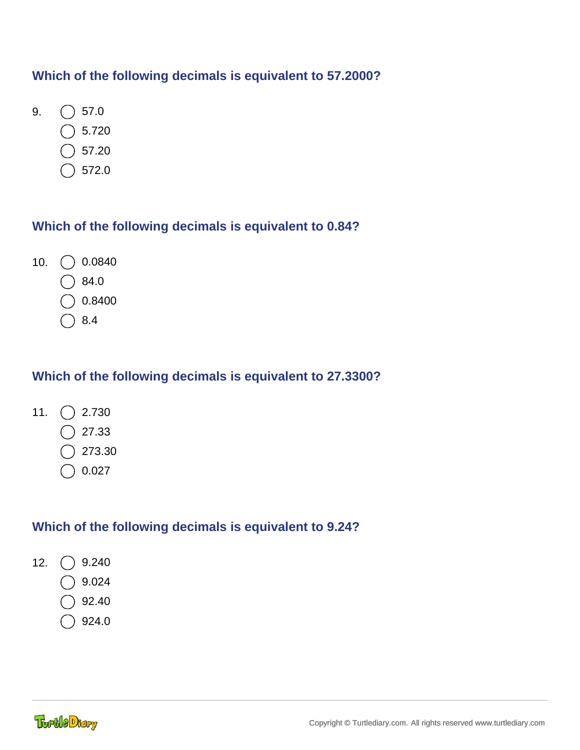#### **Which of the following decimals is equivalent to 57.2000?**

- 9.  $\bigcirc$  57.0
	- 5.720
	- 57.20
	- 572.0

#### **Which of the following decimals is equivalent to 0.84?**

- 10.  $\bigcirc$  0.0840
	- 84.0
	- 0.8400
	- 8.4

## **Which of the following decimals is equivalent to 27.3300?**

- 11.  $\bigcap$  2.730
	- 27.33
	- 273.30
	- 0.027

#### **Which of the following decimals is equivalent to 9.24?**

- 12.  $\bigcirc$  9.240
	- 9.024
	- 92.40
	- 924.0